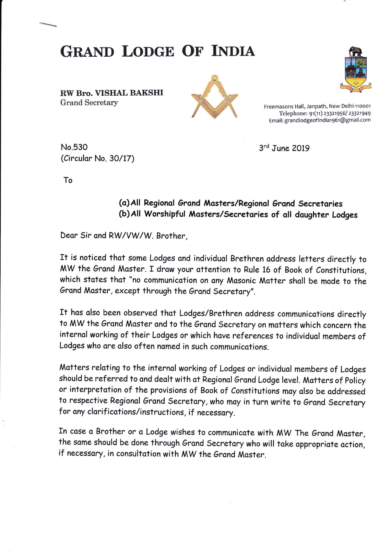RW Bro. VISHAL BAKSHI Grand Secretary Freemasons Hall, Janpath, New Delhi-110001

**GRAND LODGE OF INDIA** 





Telephone: 91(11) 23321956/ 23321949 Email: grandlodgeof indiat 96t @gmail.com

No.530 (Circulor No. 30/17) 3<sup>rd</sup> June 2019

To

## (o)Al! Regionol Grand Mosters/Regiono! Grand Secretories (b) All Worshipful Masters/Secretaries of all daughter Lodges

Dear Sir and RW/VW/W. Brother,

It is noticed that some Lodges and individual Brethren address letters directly to MW the Grand Master. I draw your attention to Rule 16 of Book of Constitutions, which states that "no communication on any Masonic Matter shall be made to the Grand Master, except through the Grand Secretary".

It has also been observed that Lodges/Brethren address communications directly to MW the Grand Master and to the Grand Secretary on matters which concern the internal working of their Lodges or which have references to individual members of Lodges who are also often named in such communications.

Matters relating to the internal working of Lodges or individual members of Lodges should be referred to and dealt with at Regional Grand Lodge level. Matters of Policy or interpretation of the provisions of Book of Constitutions may also be addressed to respective Regional Grand Secretary, who may in turn write to Grand Secretary for any clarifications/instructions, if necessary.

In case a Brother or a Lodge wishes to communicate with MW The Grand Master, the same should be done through Grand Secretary who will take appropriate action, if necessary, in consultation with MW the Grand Master.